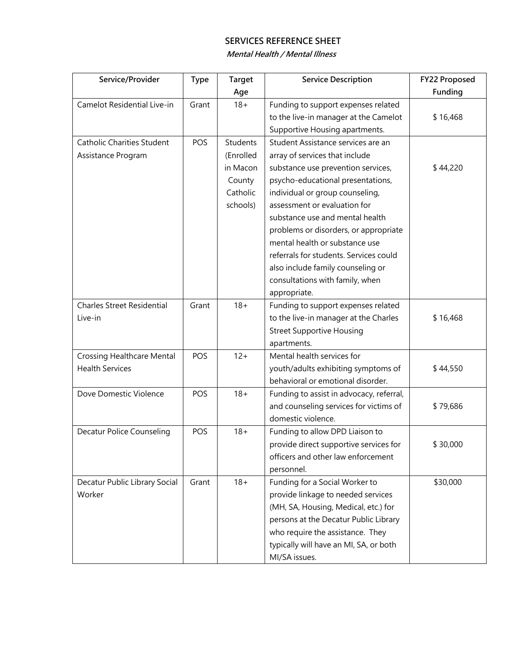**Mental Health / Mental Illness** 

| Service/Provider                  | <b>Type</b> | <b>Target</b>   | <b>Service Description</b>               | FY22 Proposed |
|-----------------------------------|-------------|-----------------|------------------------------------------|---------------|
|                                   |             | Age             |                                          | Funding       |
| Camelot Residential Live-in       | Grant       | $18 +$          | Funding to support expenses related      |               |
|                                   |             |                 | to the live-in manager at the Camelot    | \$16,468      |
|                                   |             |                 | Supportive Housing apartments.           |               |
| <b>Catholic Charities Student</b> | POS         | <b>Students</b> | Student Assistance services are an       |               |
| Assistance Program                |             | (Enrolled       | array of services that include           |               |
|                                   |             | in Macon        | substance use prevention services,       | \$44,220      |
|                                   |             | County          | psycho-educational presentations,        |               |
|                                   |             | Catholic        | individual or group counseling,          |               |
|                                   |             | schools)        | assessment or evaluation for             |               |
|                                   |             |                 | substance use and mental health          |               |
|                                   |             |                 | problems or disorders, or appropriate    |               |
|                                   |             |                 | mental health or substance use           |               |
|                                   |             |                 | referrals for students. Services could   |               |
|                                   |             |                 | also include family counseling or        |               |
|                                   |             |                 | consultations with family, when          |               |
|                                   |             |                 | appropriate.                             |               |
| <b>Charles Street Residential</b> | Grant       | $18 +$          | Funding to support expenses related      |               |
| Live-in                           |             |                 | to the live-in manager at the Charles    | \$16,468      |
|                                   |             |                 | <b>Street Supportive Housing</b>         |               |
|                                   |             |                 | apartments.                              |               |
| <b>Crossing Healthcare Mental</b> | POS         | $12 +$          | Mental health services for               |               |
| <b>Health Services</b>            |             |                 | youth/adults exhibiting symptoms of      | \$44,550      |
|                                   |             |                 | behavioral or emotional disorder.        |               |
| Dove Domestic Violence            | POS         | $18 +$          | Funding to assist in advocacy, referral, |               |
|                                   |             |                 | and counseling services for victims of   | \$79,686      |
|                                   |             |                 | domestic violence.                       |               |
| <b>Decatur Police Counseling</b>  | POS         | $18 +$          | Funding to allow DPD Liaison to          |               |
|                                   |             |                 | provide direct supportive services for   | \$30,000      |
|                                   |             |                 | officers and other law enforcement       |               |
|                                   |             |                 | personnel.                               |               |
| Decatur Public Library Social     | Grant       | $18 +$          | Funding for a Social Worker to           | \$30,000      |
| Worker                            |             |                 | provide linkage to needed services       |               |
|                                   |             |                 | (MH, SA, Housing, Medical, etc.) for     |               |
|                                   |             |                 | persons at the Decatur Public Library    |               |
|                                   |             |                 | who require the assistance. They         |               |
|                                   |             |                 | typically will have an MI, SA, or both   |               |
|                                   |             |                 | MI/SA issues.                            |               |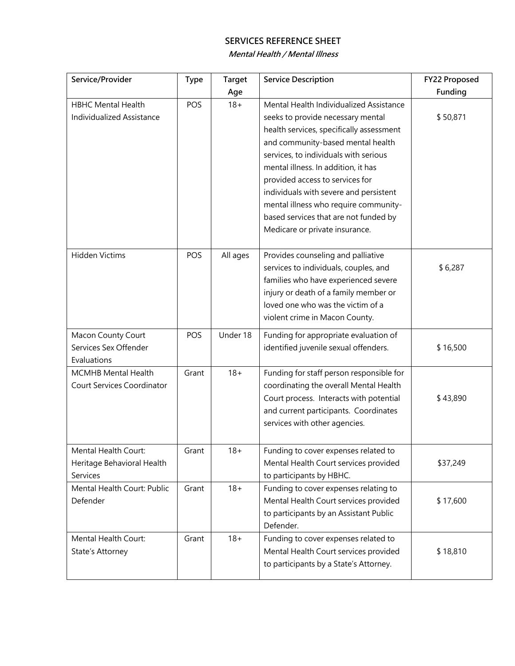**Mental Health / Mental Illness** 

| Service/Provider                  | <b>Type</b> | <b>Target</b> | <b>Service Description</b>               | FY22 Proposed |
|-----------------------------------|-------------|---------------|------------------------------------------|---------------|
|                                   |             | Age           |                                          | Funding       |
| <b>HBHC Mental Health</b>         | POS         | $18 +$        | Mental Health Individualized Assistance  |               |
| <b>Individualized Assistance</b>  |             |               | seeks to provide necessary mental        | \$50,871      |
|                                   |             |               | health services, specifically assessment |               |
|                                   |             |               | and community-based mental health        |               |
|                                   |             |               | services, to individuals with serious    |               |
|                                   |             |               | mental illness. In addition, it has      |               |
|                                   |             |               | provided access to services for          |               |
|                                   |             |               | individuals with severe and persistent   |               |
|                                   |             |               | mental illness who require community-    |               |
|                                   |             |               | based services that are not funded by    |               |
|                                   |             |               | Medicare or private insurance.           |               |
| Hidden Victims                    | POS         | All ages      | Provides counseling and palliative       |               |
|                                   |             |               | services to individuals, couples, and    | \$6,287       |
|                                   |             |               | families who have experienced severe     |               |
|                                   |             |               | injury or death of a family member or    |               |
|                                   |             |               | loved one who was the victim of a        |               |
|                                   |             |               | violent crime in Macon County.           |               |
|                                   |             |               |                                          |               |
| Macon County Court                | POS         | Under 18      | Funding for appropriate evaluation of    |               |
| Services Sex Offender             |             |               | identified juvenile sexual offenders.    | \$16,500      |
| Evaluations                       |             |               |                                          |               |
| MCMHB Mental Health               | Grant       | $18 +$        | Funding for staff person responsible for |               |
| <b>Court Services Coordinator</b> |             |               | coordinating the overall Mental Health   |               |
|                                   |             |               | Court process. Interacts with potential  | \$43,890      |
|                                   |             |               | and current participants. Coordinates    |               |
|                                   |             |               | services with other agencies.            |               |
| Mental Health Court:              | Grant       | 18+           | Funding to cover expenses related to     |               |
| Heritage Behavioral Health        |             |               | Mental Health Court services provided    | \$37,249      |
| Services                          |             |               | to participants by HBHC.                 |               |
| Mental Health Court: Public       | Grant       | $18 +$        | Funding to cover expenses relating to    |               |
| Defender                          |             |               | Mental Health Court services provided    | \$17,600      |
|                                   |             |               | to participants by an Assistant Public   |               |
|                                   |             |               | Defender.                                |               |
| Mental Health Court:              | Grant       | $18 +$        | Funding to cover expenses related to     |               |
| State's Attorney                  |             |               | Mental Health Court services provided    | \$18,810      |
|                                   |             |               | to participants by a State's Attorney.   |               |
|                                   |             |               |                                          |               |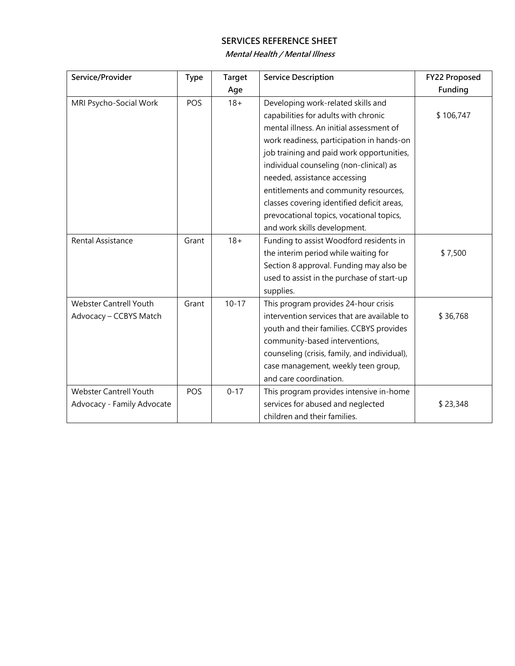#### **Mental Health / Mental Illness**

| Service/Provider              | <b>Type</b> | <b>Target</b> | <b>Service Description</b>                   | FY22 Proposed |
|-------------------------------|-------------|---------------|----------------------------------------------|---------------|
|                               |             | Age           |                                              | Funding       |
| MRI Psycho-Social Work        | POS         | $18 +$        | Developing work-related skills and           |               |
|                               |             |               | capabilities for adults with chronic         | \$106,747     |
|                               |             |               | mental illness. An initial assessment of     |               |
|                               |             |               | work readiness, participation in hands-on    |               |
|                               |             |               | job training and paid work opportunities,    |               |
|                               |             |               | individual counseling (non-clinical) as      |               |
|                               |             |               | needed, assistance accessing                 |               |
|                               |             |               | entitlements and community resources,        |               |
|                               |             |               | classes covering identified deficit areas,   |               |
|                               |             |               | prevocational topics, vocational topics,     |               |
|                               |             |               | and work skills development.                 |               |
| Rental Assistance             | Grant       | $18 +$        | Funding to assist Woodford residents in      |               |
|                               |             |               | the interim period while waiting for         | \$7,500       |
|                               |             |               | Section 8 approval. Funding may also be      |               |
|                               |             |               | used to assist in the purchase of start-up   |               |
|                               |             |               | supplies.                                    |               |
| <b>Webster Cantrell Youth</b> | Grant       | $10 - 17$     | This program provides 24-hour crisis         |               |
| Advocacy - CCBYS Match        |             |               | intervention services that are available to  | \$36,768      |
|                               |             |               | youth and their families. CCBYS provides     |               |
|                               |             |               | community-based interventions,               |               |
|                               |             |               | counseling (crisis, family, and individual), |               |
|                               |             |               | case management, weekly teen group,          |               |
|                               |             |               | and care coordination.                       |               |
| <b>Webster Cantrell Youth</b> | POS         | $0 - 17$      | This program provides intensive in-home      |               |
| Advocacy - Family Advocate    |             |               | services for abused and neglected            | \$23,348      |
|                               |             |               | children and their families.                 |               |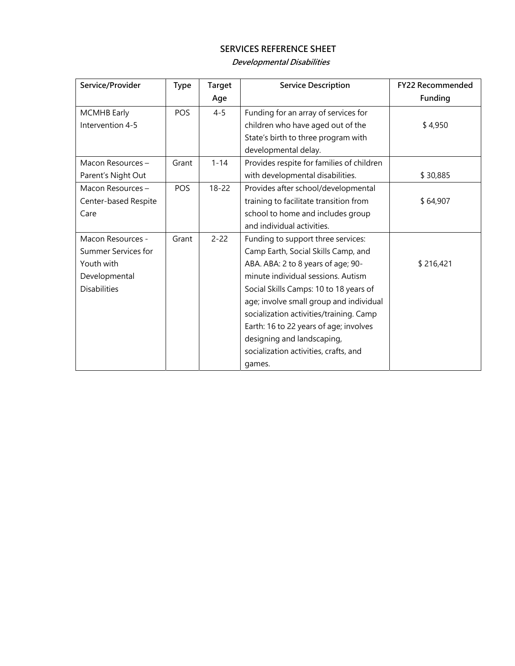## **Developmental Disabilities**

| Service/Provider     | <b>Type</b> | <b>Target</b> | <b>Service Description</b>                | <b>FY22 Recommended</b> |
|----------------------|-------------|---------------|-------------------------------------------|-------------------------|
|                      |             | Age           |                                           | Funding                 |
| <b>MCMHB</b> Early   | POS         | $4 - 5$       | Funding for an array of services for      |                         |
| Intervention 4-5     |             |               | children who have aged out of the         | \$4,950                 |
|                      |             |               | State's birth to three program with       |                         |
|                      |             |               | developmental delay.                      |                         |
| Macon Resources-     | Grant       | $1 - 14$      | Provides respite for families of children |                         |
| Parent's Night Out   |             |               | with developmental disabilities.          | \$30,885                |
| Macon Resources-     | POS         | $18 - 22$     | Provides after school/developmental       |                         |
| Center-based Respite |             |               | training to facilitate transition from    | \$64,907                |
| Care                 |             |               | school to home and includes group         |                         |
|                      |             |               | and individual activities.                |                         |
| Macon Resources -    | Grant       | $2 - 22$      | Funding to support three services:        |                         |
| Summer Services for  |             |               | Camp Earth, Social Skills Camp, and       |                         |
| Youth with           |             |               | ABA. ABA: 2 to 8 years of age; 90-        | \$216,421               |
| Developmental        |             |               | minute individual sessions. Autism        |                         |
| <b>Disabilities</b>  |             |               | Social Skills Camps: 10 to 18 years of    |                         |
|                      |             |               | age; involve small group and individual   |                         |
|                      |             |               | socialization activities/training. Camp   |                         |
|                      |             |               | Earth: 16 to 22 years of age; involves    |                         |
|                      |             |               | designing and landscaping,                |                         |
|                      |             |               | socialization activities, crafts, and     |                         |
|                      |             |               | games.                                    |                         |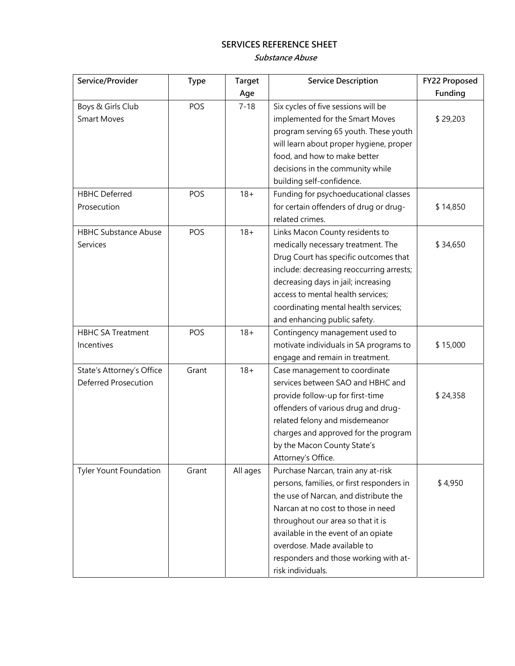**Substance Abuse** 

| Service/Provider            | <b>Type</b> | <b>Target</b> | <b>Service Description</b>                | FY22 Proposed |
|-----------------------------|-------------|---------------|-------------------------------------------|---------------|
|                             |             | Age           |                                           | Funding       |
| Boys & Girls Club           | POS         | $7 - 18$      | Six cycles of five sessions will be       |               |
| <b>Smart Moves</b>          |             |               | implemented for the Smart Moves           | \$29,203      |
|                             |             |               | program serving 65 youth. These youth     |               |
|                             |             |               | will learn about proper hygiene, proper   |               |
|                             |             |               | food, and how to make better              |               |
|                             |             |               | decisions in the community while          |               |
|                             |             |               | building self-confidence.                 |               |
| <b>HBHC</b> Deferred        | POS         | $18 +$        | Funding for psychoeducational classes     |               |
| Prosecution                 |             |               | for certain offenders of drug or drug-    | \$14,850      |
|                             |             |               | related crimes.                           |               |
| <b>HBHC Substance Abuse</b> | POS         | $18 +$        | Links Macon County residents to           |               |
| Services                    |             |               | medically necessary treatment. The        | \$34,650      |
|                             |             |               | Drug Court has specific outcomes that     |               |
|                             |             |               | include: decreasing reoccurring arrests;  |               |
|                             |             |               | decreasing days in jail; increasing       |               |
|                             |             |               | access to mental health services;         |               |
|                             |             |               | coordinating mental health services;      |               |
|                             |             |               | and enhancing public safety.              |               |
| <b>HBHC SA Treatment</b>    | POS         | $18 +$        | Contingency management used to            |               |
| Incentives                  |             |               | motivate individuals in SA programs to    | \$15,000      |
|                             |             |               | engage and remain in treatment.           |               |
| State's Attorney's Office   | Grant       | $18 +$        | Case management to coordinate             |               |
| Deferred Prosecution        |             |               | services between SAO and HBHC and         |               |
|                             |             |               | provide follow-up for first-time          | \$24,358      |
|                             |             |               | offenders of various drug and drug-       |               |
|                             |             |               | related felony and misdemeanor            |               |
|                             |             |               | charges and approved for the program      |               |
|                             |             |               | by the Macon County State's               |               |
|                             |             |               | Attorney's Office.                        |               |
| Tyler Yount Foundation      | Grant       | All ages      | Purchase Narcan, train any at-risk        |               |
|                             |             |               | persons, families, or first responders in | \$4,950       |
|                             |             |               | the use of Narcan, and distribute the     |               |
|                             |             |               | Narcan at no cost to those in need        |               |
|                             |             |               | throughout our area so that it is         |               |
|                             |             |               | available in the event of an opiate       |               |
|                             |             |               | overdose. Made available to               |               |
|                             |             |               | responders and those working with at-     |               |
|                             |             |               | risk individuals.                         |               |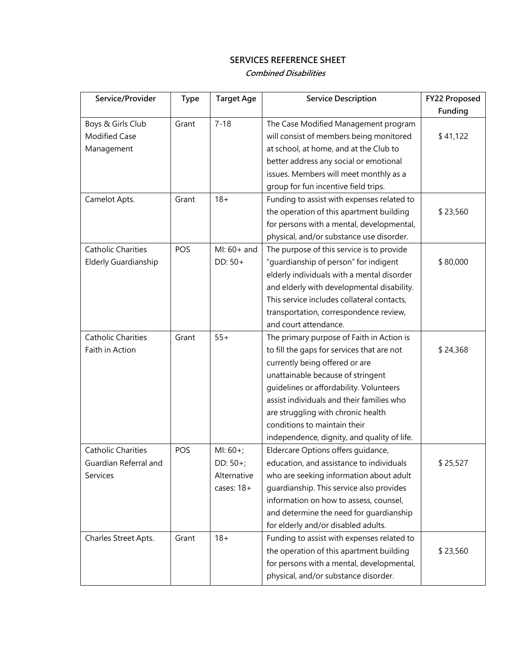**Combined Disabilities** 

| Service/Provider          | <b>Type</b> | <b>Target Age</b> | <b>Service Description</b>                  | FY22 Proposed |
|---------------------------|-------------|-------------------|---------------------------------------------|---------------|
|                           |             |                   |                                             | Funding       |
| Boys & Girls Club         | Grant       | $7 - 18$          | The Case Modified Management program        |               |
| <b>Modified Case</b>      |             |                   | will consist of members being monitored     | \$41,122      |
| Management                |             |                   | at school, at home, and at the Club to      |               |
|                           |             |                   | better address any social or emotional      |               |
|                           |             |                   | issues. Members will meet monthly as a      |               |
|                           |             |                   | group for fun incentive field trips.        |               |
| Camelot Apts.             | Grant       | $18 +$            | Funding to assist with expenses related to  |               |
|                           |             |                   | the operation of this apartment building    | \$23,560      |
|                           |             |                   | for persons with a mental, developmental,   |               |
|                           |             |                   | physical, and/or substance use disorder.    |               |
| <b>Catholic Charities</b> | POS         | MI: 60+ and       | The purpose of this service is to provide   |               |
| Elderly Guardianship      |             | DD: 50+           | "guardianship of person" for indigent       | \$80,000      |
|                           |             |                   | elderly individuals with a mental disorder  |               |
|                           |             |                   | and elderly with developmental disability.  |               |
|                           |             |                   | This service includes collateral contacts,  |               |
|                           |             |                   | transportation, correspondence review,      |               |
|                           |             |                   | and court attendance.                       |               |
| <b>Catholic Charities</b> | Grant       | $55+$             | The primary purpose of Faith in Action is   |               |
| Faith in Action           |             |                   | to fill the gaps for services that are not  | \$24,368      |
|                           |             |                   | currently being offered or are              |               |
|                           |             |                   | unattainable because of stringent           |               |
|                           |             |                   | guidelines or affordability. Volunteers     |               |
|                           |             |                   | assist individuals and their families who   |               |
|                           |             |                   | are struggling with chronic health          |               |
|                           |             |                   | conditions to maintain their                |               |
|                           |             |                   | independence, dignity, and quality of life. |               |
| <b>Catholic Charities</b> | POS         | $MI: 60+;$        | Eldercare Options offers guidance,          |               |
| Guardian Referral and     |             | DD: 50+;          | education, and assistance to individuals    | \$25,527      |
| Services                  |             | Alternative       | who are seeking information about adult     |               |
|                           |             | cases: $18+$      | guardianship. This service also provides    |               |
|                           |             |                   | information on how to assess, counsel,      |               |
|                           |             |                   | and determine the need for guardianship     |               |
|                           |             |                   | for elderly and/or disabled adults.         |               |
| Charles Street Apts.      | Grant       | $18 +$            | Funding to assist with expenses related to  |               |
|                           |             |                   | the operation of this apartment building    | \$23,560      |
|                           |             |                   | for persons with a mental, developmental,   |               |
|                           |             |                   | physical, and/or substance disorder.        |               |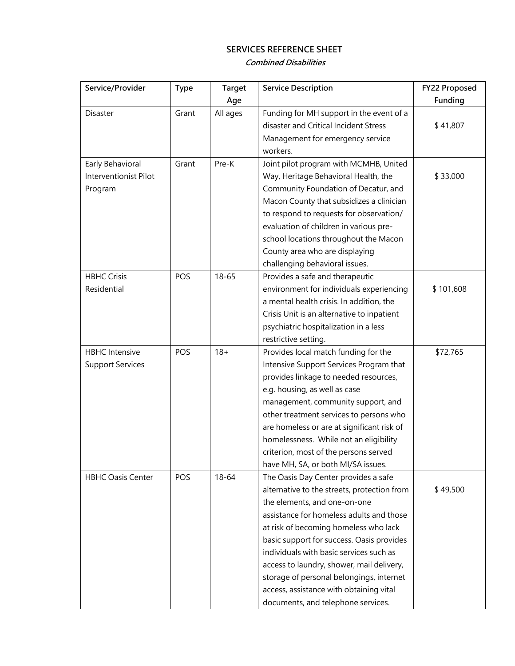#### **Combined Disabilities**

| Service/Provider         | <b>Type</b> | <b>Target</b> | <b>Service Description</b>                  | FY22 Proposed |
|--------------------------|-------------|---------------|---------------------------------------------|---------------|
|                          |             | Age           |                                             | Funding       |
| Disaster                 | Grant       | All ages      | Funding for MH support in the event of a    |               |
|                          |             |               | disaster and Critical Incident Stress       | \$41,807      |
|                          |             |               | Management for emergency service            |               |
|                          |             |               | workers.                                    |               |
| Early Behavioral         | Grant       | Pre-K         | Joint pilot program with MCMHB, United      |               |
| Interventionist Pilot    |             |               | Way, Heritage Behavioral Health, the        | \$33,000      |
| Program                  |             |               | Community Foundation of Decatur, and        |               |
|                          |             |               | Macon County that subsidizes a clinician    |               |
|                          |             |               | to respond to requests for observation/     |               |
|                          |             |               | evaluation of children in various pre-      |               |
|                          |             |               | school locations throughout the Macon       |               |
|                          |             |               | County area who are displaying              |               |
|                          |             |               | challenging behavioral issues.              |               |
| <b>HBHC Crisis</b>       | POS         | $18 - 65$     | Provides a safe and therapeutic             |               |
| Residential              |             |               | environment for individuals experiencing    | \$101,608     |
|                          |             |               | a mental health crisis. In addition, the    |               |
|                          |             |               | Crisis Unit is an alternative to inpatient  |               |
|                          |             |               | psychiatric hospitalization in a less       |               |
|                          |             |               | restrictive setting.                        |               |
| <b>HBHC</b> Intensive    | POS         | $18 +$        | Provides local match funding for the        | \$72,765      |
| <b>Support Services</b>  |             |               | Intensive Support Services Program that     |               |
|                          |             |               | provides linkage to needed resources,       |               |
|                          |             |               | e.g. housing, as well as case               |               |
|                          |             |               | management, community support, and          |               |
|                          |             |               | other treatment services to persons who     |               |
|                          |             |               | are homeless or are at significant risk of  |               |
|                          |             |               | homelessness. While not an eligibility      |               |
|                          |             |               | criterion, most of the persons served       |               |
|                          |             |               | have MH, SA, or both MI/SA issues.          |               |
| <b>HBHC Oasis Center</b> | POS         | $18 - 64$     | The Oasis Day Center provides a safe        |               |
|                          |             |               | alternative to the streets, protection from | \$49,500      |
|                          |             |               | the elements, and one-on-one                |               |
|                          |             |               | assistance for homeless adults and those    |               |
|                          |             |               | at risk of becoming homeless who lack       |               |
|                          |             |               | basic support for success. Oasis provides   |               |
|                          |             |               | individuals with basic services such as     |               |
|                          |             |               | access to laundry, shower, mail delivery,   |               |
|                          |             |               | storage of personal belongings, internet    |               |
|                          |             |               | access, assistance with obtaining vital     |               |
|                          |             |               | documents, and telephone services.          |               |